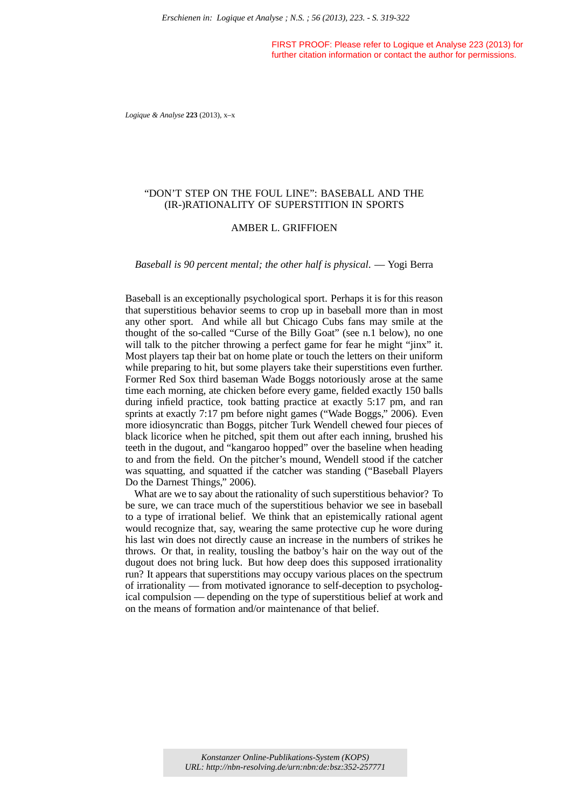FIRST PROOF: Please refer to Logique et Analyse 223 (2013) for further citation information or contact the author for permissions.

*Logique & Analyse* **223** (2013), x–x

# "DON'T STEP ON THE FOUL LINE": BASEBALL AND THE (IR-)RATIONALITY OF SUPERSTITION IN SPORTS

### AMBER L. GRIFFIOEN

*Baseball is 90 percent mental; the other half is physical*. — Yogi Berra

Baseball is an exceptionally psychological sport. Perhaps it is for this reason that superstitious behavior seems to crop up in baseball more than in most any other sport. And while all but Chicago Cubs fans may smile at the thought of the so-called "Curse of the Billy Goat" (see n.1 below), no one will talk to the pitcher throwing a perfect game for fear he might "jinx" it. Most players tap their bat on home plate or touch the letters on their uniform while preparing to hit, but some players take their superstitions even further. Former Red Sox third baseman Wade Boggs notoriously arose at the same time each morning, ate chicken before every game, fielded exactly 150 balls during infield practice, took batting practice at exactly 5:17 pm, and ran sprints at exactly 7:17 pm before night games ("Wade Boggs," 2006). Even more idiosyncratic than Boggs, pitcher Turk Wendell chewed four pieces of black licorice when he pitched, spit them out after each inning, brushed his teeth in the dugout, and "kangaroo hopped" over the baseline when heading to and from the field. On the pitcher's mound, Wendell stood if the catcher was squatting, and squatted if the catcher was standing ("Baseball Players Do the Darnest Things," 2006). *Erschienen in: Logique et Analyse : N.S. ; 56 (2013), 223. - S. 319-322*<br> **ERST PROOF**. Please relation information or contact<br>
turtime clation information or contact to Logi<br>
turtime clation information or contact<br>
turti

What are we to say about the rationality of such superstitious behavior? To be sure, we can trace much of the superstitious behavior we see in baseball to a type of irrational belief. We think that an epistemically rational agent would recognize that, say, wearing the same protective cup he wore during his last win does not directly cause an increase in the numbers of strikes he throws. Or that, in reality, tousling the batboy's hair on the way out of the dugout does not bring luck. But how deep does this supposed irrationality run? It appears that superstitions may occupy various places on the spectrum of irrationality — from motivated ignorance to self-deception to psychological compulsion — depending on the type of superstitious belief at work and on the means of formation and/or maintenance of that belief.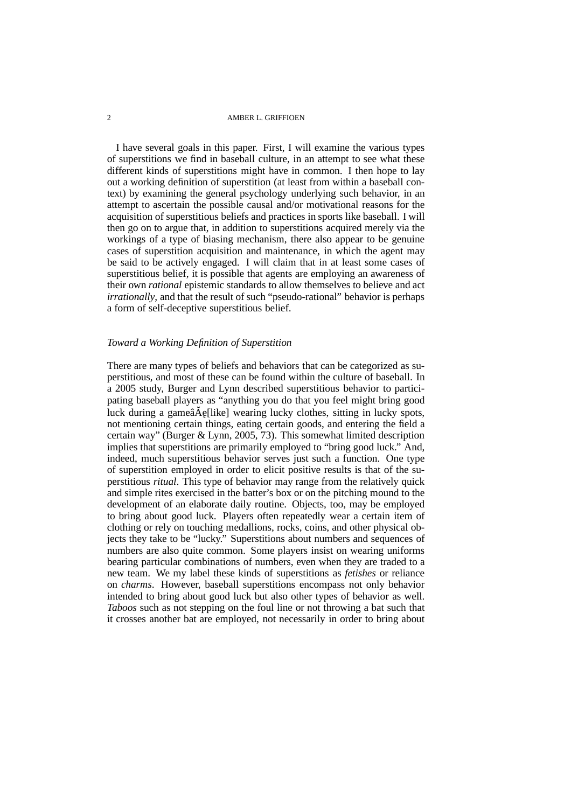I have several goals in this paper. First, I will examine the various types of superstitions we find in baseball culture, in an attempt to see what these different kinds of superstitions might have in common. I then hope to lay out a working definition of superstition (at least from within a baseball context) by examining the general psychology underlying such behavior, in an attempt to ascertain the possible causal and/or motivational reasons for the acquisition of superstitious beliefs and practices in sports like baseball. I will then go on to argue that, in addition to superstitions acquired merely via the workings of a type of biasing mechanism, there also appear to be genuine cases of superstition acquisition and maintenance, in which the agent may be said to be actively engaged. I will claim that in at least some cases of superstitious belief, it is possible that agents are employing an awareness of their own *rational* epistemic standards to allow themselves to believe and act *irrationally*, and that the result of such "pseudo-rational" behavior is perhaps a form of self-deceptive superstitious belief.

### *Toward a Working Definition of Superstition*

There are many types of beliefs and behaviors that can be categorized as superstitious, and most of these can be found within the culture of baseball. In a 2005 study, Burger and Lynn described superstitious behavior to participating baseball players as "anything you do that you feel might bring good luck during a gameâ $\text{A}$ e[like] wearing lucky clothes, sitting in lucky spots, not mentioning certain things, eating certain goods, and entering the field a certain way" (Burger & Lynn, 2005, 73). This somewhat limited description implies that superstitions are primarily employed to "bring good luck." And, indeed, much superstitious behavior serves just such a function. One type of superstition employed in order to elicit positive results is that of the superstitious *ritual*. This type of behavior may range from the relatively quick and simple rites exercised in the batter's box or on the pitching mound to the development of an elaborate daily routine. Objects, too, may be employed to bring about good luck. Players often repeatedly wear a certain item of clothing or rely on touching medallions, rocks, coins, and other physical objects they take to be "lucky." Superstitions about numbers and sequences of numbers are also quite common. Some players insist on wearing uniforms bearing particular combinations of numbers, even when they are traded to a new team. We my label these kinds of superstitions as *fetishes* or reliance on *charms*. However, baseball superstitions encompass not only behavior intended to bring about good luck but also other types of behavior as well. *Taboos* such as not stepping on the foul line or not throwing a bat such that it crosses another bat are employed, not necessarily in order to bring about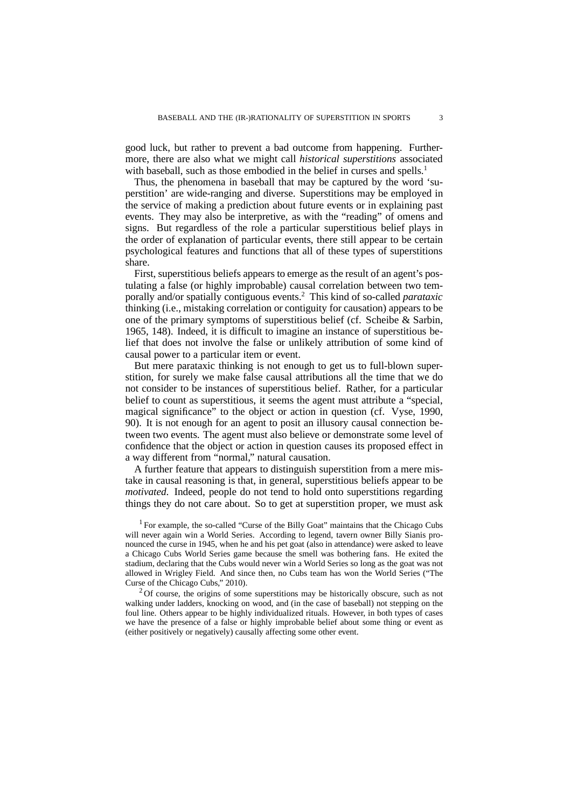good luck, but rather to prevent a bad outcome from happening. Furthermore, there are also what we might call *historical superstitions* associated with baseball, such as those embodied in the belief in curses and spells.<sup>1</sup>

Thus, the phenomena in baseball that may be captured by the word 'superstition' are wide-ranging and diverse. Superstitions may be employed in the service of making a prediction about future events or in explaining past events. They may also be interpretive, as with the "reading" of omens and signs. But regardless of the role a particular superstitious belief plays in the order of explanation of particular events, there still appear to be certain psychological features and functions that all of these types of superstitions share.

First, superstitious beliefs appears to emerge as the result of an agent's postulating a false (or highly improbable) causal correlation between two temporally and/or spatially contiguous events.<sup>2</sup> This kind of so-called *parataxic* thinking (i.e., mistaking correlation or contiguity for causation) appears to be one of the primary symptoms of superstitious belief (cf. Scheibe & Sarbin, 1965, 148). Indeed, it is difficult to imagine an instance of superstitious belief that does not involve the false or unlikely attribution of some kind of causal power to a particular item or event.

But mere parataxic thinking is not enough to get us to full-blown superstition, for surely we make false causal attributions all the time that we do not consider to be instances of superstitious belief. Rather, for a particular belief to count as superstitious, it seems the agent must attribute a "special, magical significance" to the object or action in question (cf. Vyse, 1990, 90). It is not enough for an agent to posit an illusory causal connection between two events. The agent must also believe or demonstrate some level of confidence that the object or action in question causes its proposed effect in a way different from "normal," natural causation.

A further feature that appears to distinguish superstition from a mere mistake in causal reasoning is that, in general, superstitious beliefs appear to be *motivated*. Indeed, people do not tend to hold onto superstitions regarding things they do not care about. So to get at superstition proper, we must ask

 $2$ Of course, the origins of some superstitions may be historically obscure, such as not walking under ladders, knocking on wood, and (in the case of baseball) not stepping on the foul line. Others appear to be highly individualized rituals. However, in both types of cases we have the presence of a false or highly improbable belief about some thing or event as (either positively or negatively) causally affecting some other event.

<sup>&</sup>lt;sup>1</sup> For example, the so-called "Curse of the Billy Goat" maintains that the Chicago Cubs will never again win a World Series. According to legend, tavern owner Billy Sianis pronounced the curse in 1945, when he and his pet goat (also in attendance) were asked to leave a Chicago Cubs World Series game because the smell was bothering fans. He exited the stadium, declaring that the Cubs would never win a World Series so long as the goat was not allowed in Wrigley Field. And since then, no Cubs team has won the World Series ("The Curse of the Chicago Cubs," 2010).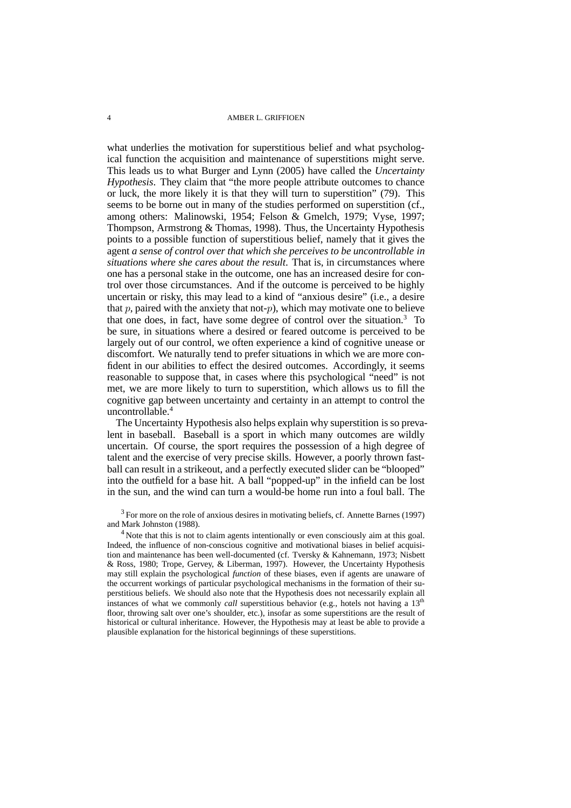what underlies the motivation for superstitious belief and what psychological function the acquisition and maintenance of superstitions might serve. This leads us to what Burger and Lynn (2005) have called the *Uncertainty Hypothesis*. They claim that "the more people attribute outcomes to chance or luck, the more likely it is that they will turn to superstition" (79). This seems to be borne out in many of the studies performed on superstition (cf., among others: Malinowski, 1954; Felson & Gmelch, 1979; Vyse, 1997; Thompson, Armstrong & Thomas, 1998). Thus, the Uncertainty Hypothesis points to a possible function of superstitious belief, namely that it gives the agent *a sense of control over that which she perceives to be uncontrollable in situations where she cares about the result*. That is, in circumstances where one has a personal stake in the outcome, one has an increased desire for control over those circumstances. And if the outcome is perceived to be highly uncertain or risky, this may lead to a kind of "anxious desire" (i.e., a desire that  $p$ , paired with the anxiety that not- $p$ ), which may motivate one to believe that one does, in fact, have some degree of control over the situation.<sup>3</sup> To be sure, in situations where a desired or feared outcome is perceived to be largely out of our control, we often experience a kind of cognitive unease or discomfort. We naturally tend to prefer situations in which we are more confident in our abilities to effect the desired outcomes. Accordingly, it seems reasonable to suppose that, in cases where this psychological "need" is not met, we are more likely to turn to superstition, which allows us to fill the cognitive gap between uncertainty and certainty in an attempt to control the uncontrollable.<sup>4</sup>

The Uncertainty Hypothesis also helps explain why superstition is so prevalent in baseball. Baseball is a sport in which many outcomes are wildly uncertain. Of course, the sport requires the possession of a high degree of talent and the exercise of very precise skills. However, a poorly thrown fastball can result in a strikeout, and a perfectly executed slider can be "blooped" into the outfield for a base hit. A ball "popped-up" in the infield can be lost in the sun, and the wind can turn a would-be home run into a foul ball. The

<sup>3</sup> For more on the role of anxious desires in motivating beliefs, cf. Annette Barnes (1997) and Mark Johnston (1988).

<sup>4</sup> Note that this is not to claim agents intentionally or even consciously aim at this goal. Indeed, the influence of non-conscious cognitive and motivational biases in belief acquisition and maintenance has been well-documented (cf. Tversky & Kahnemann, 1973; Nisbett & Ross, 1980; Trope, Gervey, & Liberman, 1997). However, the Uncertainty Hypothesis may still explain the psychological *function* of these biases, even if agents are unaware of the occurrent workings of particular psychological mechanisms in the formation of their superstitious beliefs. We should also note that the Hypothesis does not necessarily explain all instances of what we commonly *call* superstitious behavior (e.g., hotels not having a 13<sup>th</sup> floor, throwing salt over one's shoulder, etc.), insofar as some superstitions are the result of historical or cultural inheritance. However, the Hypothesis may at least be able to provide a plausible explanation for the historical beginnings of these superstitions.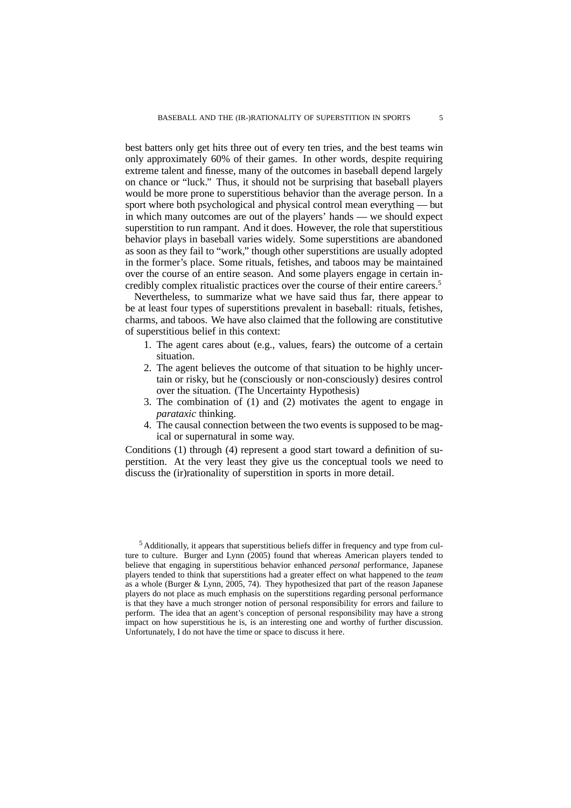best batters only get hits three out of every ten tries, and the best teams win only approximately 60% of their games. In other words, despite requiring extreme talent and finesse, many of the outcomes in baseball depend largely on chance or "luck." Thus, it should not be surprising that baseball players would be more prone to superstitious behavior than the average person. In a sport where both psychological and physical control mean everything — but in which many outcomes are out of the players' hands — we should expect superstition to run rampant. And it does. However, the role that superstitious behavior plays in baseball varies widely. Some superstitions are abandoned as soon as they fail to "work," though other superstitions are usually adopted in the former's place. Some rituals, fetishes, and taboos may be maintained over the course of an entire season. And some players engage in certain incredibly complex ritualistic practices over the course of their entire careers.<sup>5</sup>

Nevertheless, to summarize what we have said thus far, there appear to be at least four types of superstitions prevalent in baseball: rituals, fetishes, charms, and taboos. We have also claimed that the following are constitutive of superstitious belief in this context:

- 1. The agent cares about (e.g., values, fears) the outcome of a certain situation.
- 2. The agent believes the outcome of that situation to be highly uncertain or risky, but he (consciously or non-consciously) desires control over the situation. (The Uncertainty Hypothesis)
- 3. The combination of (1) and (2) motivates the agent to engage in *parataxic* thinking.
- 4. The causal connection between the two events is supposed to be magical or supernatural in some way.

Conditions (1) through (4) represent a good start toward a definition of superstition. At the very least they give us the conceptual tools we need to discuss the (ir)rationality of superstition in sports in more detail.

<sup>5</sup> Additionally, it appears that superstitious beliefs differ in frequency and type from culture to culture. Burger and Lynn (2005) found that whereas American players tended to believe that engaging in superstitious behavior enhanced *personal* performance, Japanese players tended to think that superstitions had a greater effect on what happened to the *team* as a whole (Burger & Lynn, 2005, 74). They hypothesized that part of the reason Japanese players do not place as much emphasis on the superstitions regarding personal performance is that they have a much stronger notion of personal responsibility for errors and failure to perform. The idea that an agent's conception of personal responsibility may have a strong impact on how superstitious he is, is an interesting one and worthy of further discussion. Unfortunately, I do not have the time or space to discuss it here.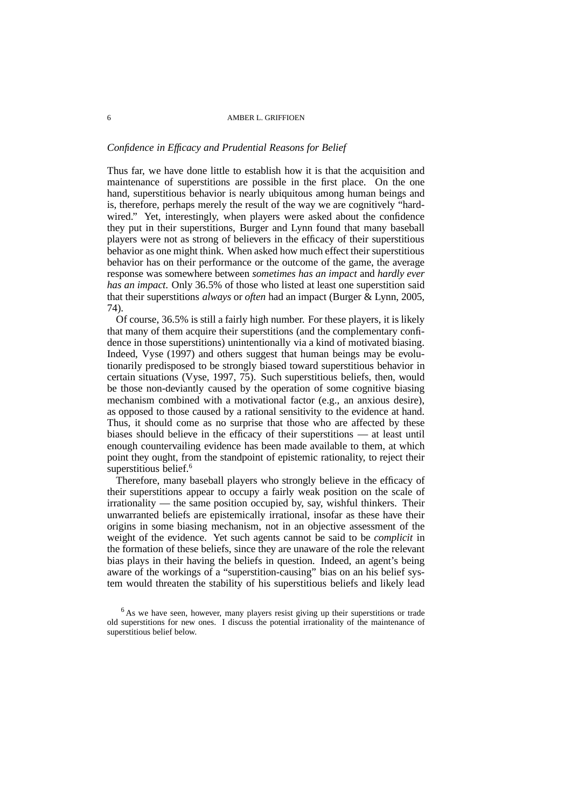### *Confidence in Efficacy and Prudential Reasons for Belief*

Thus far, we have done little to establish how it is that the acquisition and maintenance of superstitions are possible in the first place. On the one hand, superstitious behavior is nearly ubiquitous among human beings and is, therefore, perhaps merely the result of the way we are cognitively "hardwired." Yet, interestingly, when players were asked about the confidence they put in their superstitions, Burger and Lynn found that many baseball players were not as strong of believers in the efficacy of their superstitious behavior as one might think. When asked how much effect their superstitious behavior has on their performance or the outcome of the game, the average response was somewhere between *sometimes has an impact* and *hardly ever has an impact*. Only 36.5% of those who listed at least one superstition said that their superstitions *always* or *often* had an impact (Burger & Lynn, 2005, 74).

Of course, 36.5% is still a fairly high number. For these players, it is likely that many of them acquire their superstitions (and the complementary confidence in those superstitions) unintentionally via a kind of motivated biasing. Indeed, Vyse (1997) and others suggest that human beings may be evolutionarily predisposed to be strongly biased toward superstitious behavior in certain situations (Vyse, 1997, 75). Such superstitious beliefs, then, would be those non-deviantly caused by the operation of some cognitive biasing mechanism combined with a motivational factor (e.g., an anxious desire), as opposed to those caused by a rational sensitivity to the evidence at hand. Thus, it should come as no surprise that those who are affected by these biases should believe in the efficacy of their superstitions — at least until enough countervailing evidence has been made available to them, at which point they ought, from the standpoint of epistemic rationality, to reject their superstitious belief.<sup>6</sup>

Therefore, many baseball players who strongly believe in the efficacy of their superstitions appear to occupy a fairly weak position on the scale of irrationality — the same position occupied by, say, wishful thinkers. Their unwarranted beliefs are epistemically irrational, insofar as these have their origins in some biasing mechanism, not in an objective assessment of the weight of the evidence. Yet such agents cannot be said to be *complicit* in the formation of these beliefs, since they are unaware of the role the relevant bias plays in their having the beliefs in question. Indeed, an agent's being aware of the workings of a "superstition-causing" bias on an his belief system would threaten the stability of his superstitious beliefs and likely lead

 $6$  As we have seen, however, many players resist giving up their superstitions or trade old superstitions for new ones. I discuss the potential irrationality of the maintenance of superstitious belief below.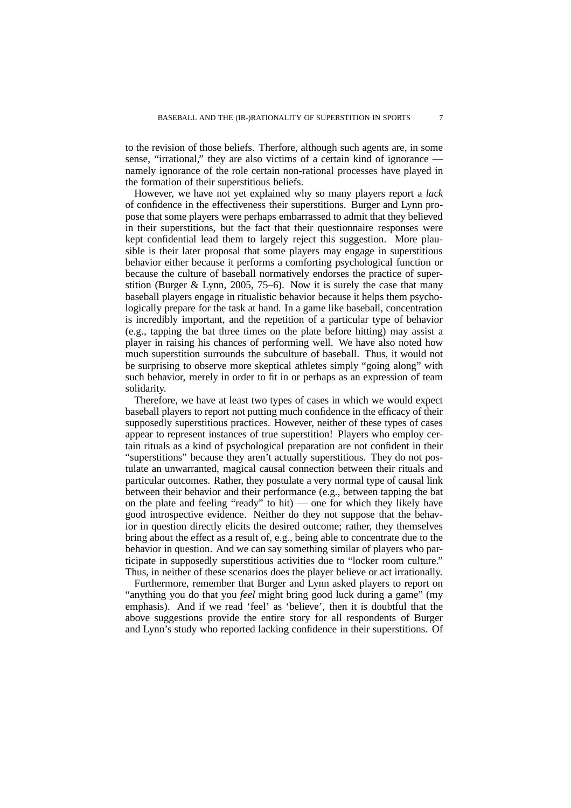to the revision of those beliefs. Therfore, although such agents are, in some sense, "irrational," they are also victims of a certain kind of ignorance namely ignorance of the role certain non-rational processes have played in the formation of their superstitious beliefs.

However, we have not yet explained why so many players report a *lack* of confidence in the effectiveness their superstitions. Burger and Lynn propose that some players were perhaps embarrassed to admit that they believed in their superstitions, but the fact that their questionnaire responses were kept confidential lead them to largely reject this suggestion. More plausible is their later proposal that some players may engage in superstitious behavior either because it performs a comforting psychological function or because the culture of baseball normatively endorses the practice of superstition (Burger  $& Lynn$ , 2005, 75–6). Now it is surely the case that many baseball players engage in ritualistic behavior because it helps them psychologically prepare for the task at hand. In a game like baseball, concentration is incredibly important, and the repetition of a particular type of behavior (e.g., tapping the bat three times on the plate before hitting) may assist a player in raising his chances of performing well. We have also noted how much superstition surrounds the subculture of baseball. Thus, it would not be surprising to observe more skeptical athletes simply "going along" with such behavior, merely in order to fit in or perhaps as an expression of team solidarity.

Therefore, we have at least two types of cases in which we would expect baseball players to report not putting much confidence in the efficacy of their supposedly superstitious practices. However, neither of these types of cases appear to represent instances of true superstition! Players who employ certain rituals as a kind of psychological preparation are not confident in their "superstitions" because they aren't actually superstitious. They do not postulate an unwarranted, magical causal connection between their rituals and particular outcomes. Rather, they postulate a very normal type of causal link between their behavior and their performance (e.g., between tapping the bat on the plate and feeling "ready" to hit) — one for which they likely have good introspective evidence. Neither do they not suppose that the behavior in question directly elicits the desired outcome; rather, they themselves bring about the effect as a result of, e.g., being able to concentrate due to the behavior in question. And we can say something similar of players who participate in supposedly superstitious activities due to "locker room culture." Thus, in neither of these scenarios does the player believe or act irrationally.

Furthermore, remember that Burger and Lynn asked players to report on "anything you do that you *feel* might bring good luck during a game" (my emphasis). And if we read 'feel' as 'believe', then it is doubtful that the above suggestions provide the entire story for all respondents of Burger and Lynn's study who reported lacking confidence in their superstitions. Of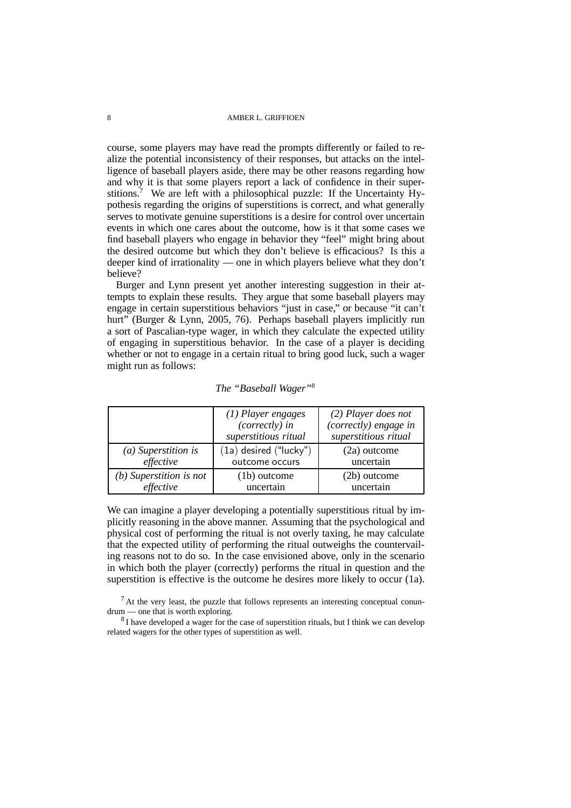course, some players may have read the prompts differently or failed to realize the potential inconsistency of their responses, but attacks on the intelligence of baseball players aside, there may be other reasons regarding how and why it is that some players report a lack of confidence in their superstitions.<sup>7</sup> We are left with a philosophical puzzle: If the Uncertainty Hypothesis regarding the origins of superstitions is correct, and what generally serves to motivate genuine superstitions is a desire for control over uncertain events in which one cares about the outcome, how is it that some cases we find baseball players who engage in behavior they "feel" might bring about the desired outcome but which they don't believe is efficacious? Is this a deeper kind of irrationality — one in which players believe what they don't believe?

Burger and Lynn present yet another interesting suggestion in their attempts to explain these results. They argue that some baseball players may engage in certain superstitious behaviors "just in case," or because "it can't hurt" (Burger & Lynn, 2005, 76). Perhaps baseball players implicitly run a sort of Pascalian-type wager, in which they calculate the expected utility of engaging in superstitious behavior. In the case of a player is deciding whether or not to engage in a certain ritual to bring good luck, such a wager might run as follows:

|                           | $(1)$ Player engages<br>$(correctly)$ in<br>superstitious ritual | $(2)$ Player does not<br>(correctly) engage in<br>superstitious ritual |
|---------------------------|------------------------------------------------------------------|------------------------------------------------------------------------|
| $(a)$ Superstition is     | $(1a)$ desired $("lucky")$                                       | $(2a)$ outcome                                                         |
| effective                 | outcome occurs                                                   | uncertain                                                              |
| $(b)$ Superstition is not | $(1b)$ outcome                                                   | (2b) outcome                                                           |
| effective                 | uncertain                                                        | uncertain                                                              |

*The "Baseball Wager"*<sup>8</sup>

We can imagine a player developing a potentially superstitious ritual by implicitly reasoning in the above manner. Assuming that the psychological and physical cost of performing the ritual is not overly taxing, he may calculate that the expected utility of performing the ritual outweighs the countervailing reasons not to do so. In the case envisioned above, only in the scenario in which both the player (correctly) performs the ritual in question and the superstition is effective is the outcome he desires more likely to occur (1a).

 $<sup>7</sup>$  At the very least, the puzzle that follows represents an interesting conceptual conun-</sup> drum — one that is worth exploring.

 $8$ I have developed a wager for the case of superstition rituals, but I think we can develop related wagers for the other types of superstition as well.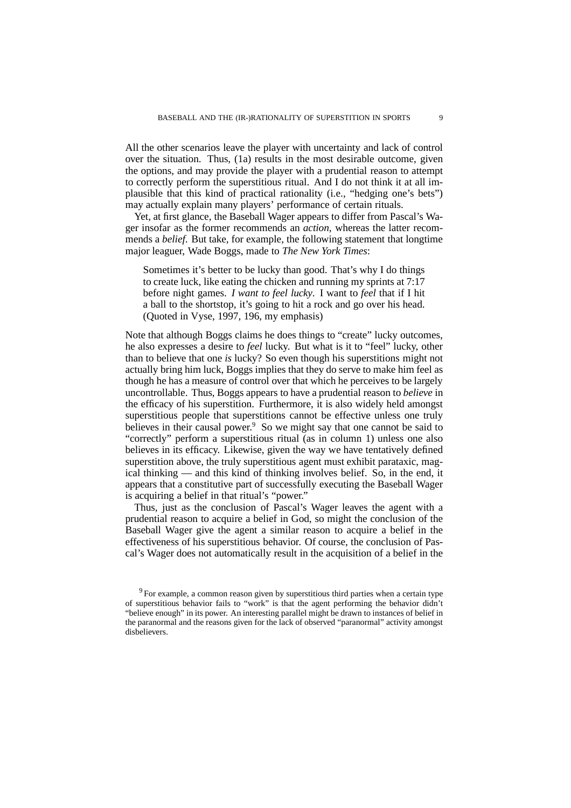All the other scenarios leave the player with uncertainty and lack of control over the situation. Thus, (1a) results in the most desirable outcome, given the options, and may provide the player with a prudential reason to attempt to correctly perform the superstitious ritual. And I do not think it at all implausible that this kind of practical rationality (i.e., "hedging one's bets") may actually explain many players' performance of certain rituals.

Yet, at first glance, the Baseball Wager appears to differ from Pascal's Wager insofar as the former recommends an *action*, whereas the latter recommends a *belief*. But take, for example, the following statement that longtime major leaguer, Wade Boggs, made to *The New York Times*:

Sometimes it's better to be lucky than good. That's why I do things to create luck, like eating the chicken and running my sprints at 7:17 before night games. *I want to feel lucky*. I want to *feel* that if I hit a ball to the shortstop, it's going to hit a rock and go over his head. (Quoted in Vyse, 1997, 196, my emphasis)

Note that although Boggs claims he does things to "create" lucky outcomes, he also expresses a desire to *feel* lucky. But what is it to "feel" lucky, other than to believe that one *is* lucky? So even though his superstitions might not actually bring him luck, Boggs implies that they do serve to make him feel as though he has a measure of control over that which he perceives to be largely uncontrollable. Thus, Boggs appears to have a prudential reason to *believe* in the efficacy of his superstition. Furthermore, it is also widely held amongst superstitious people that superstitions cannot be effective unless one truly believes in their causal power.<sup>9</sup> So we might say that one cannot be said to "correctly" perform a superstitious ritual (as in column 1) unless one also believes in its efficacy. Likewise, given the way we have tentatively defined superstition above, the truly superstitious agent must exhibit parataxic, magical thinking — and this kind of thinking involves belief. So, in the end, it appears that a constitutive part of successfully executing the Baseball Wager is acquiring a belief in that ritual's "power."

Thus, just as the conclusion of Pascal's Wager leaves the agent with a prudential reason to acquire a belief in God, so might the conclusion of the Baseball Wager give the agent a similar reason to acquire a belief in the effectiveness of his superstitious behavior. Of course, the conclusion of Pascal's Wager does not automatically result in the acquisition of a belief in the

 $9$  For example, a common reason given by superstitious third parties when a certain type of superstitious behavior fails to "work" is that the agent performing the behavior didn't "believe enough" in its power. An interesting parallel might be drawn to instances of belief in the paranormal and the reasons given for the lack of observed "paranormal" activity amongst disbelievers.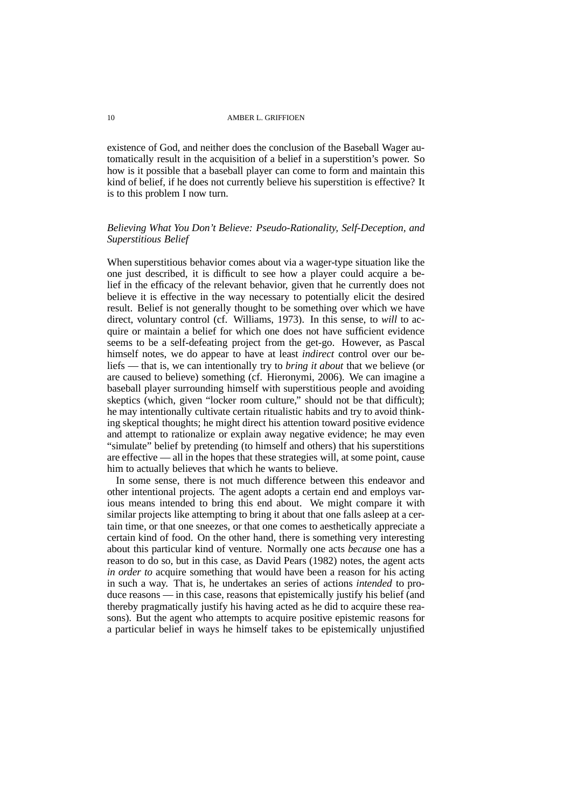existence of God, and neither does the conclusion of the Baseball Wager automatically result in the acquisition of a belief in a superstition's power. So how is it possible that a baseball player can come to form and maintain this kind of belief, if he does not currently believe his superstition is effective? It is to this problem I now turn.

## *Believing What You Don't Believe: Pseudo-Rationality, Self-Deception, and Superstitious Belief*

When superstitious behavior comes about via a wager-type situation like the one just described, it is difficult to see how a player could acquire a belief in the efficacy of the relevant behavior, given that he currently does not believe it is effective in the way necessary to potentially elicit the desired result. Belief is not generally thought to be something over which we have direct, voluntary control (cf. Williams, 1973). In this sense, to *will* to acquire or maintain a belief for which one does not have sufficient evidence seems to be a self-defeating project from the get-go. However, as Pascal himself notes, we do appear to have at least *indirect* control over our beliefs — that is, we can intentionally try to *bring it about* that we believe (or are caused to believe) something (cf. Hieronymi, 2006). We can imagine a baseball player surrounding himself with superstitious people and avoiding skeptics (which, given "locker room culture," should not be that difficult); he may intentionally cultivate certain ritualistic habits and try to avoid thinking skeptical thoughts; he might direct his attention toward positive evidence and attempt to rationalize or explain away negative evidence; he may even "simulate" belief by pretending (to himself and others) that his superstitions are effective — all in the hopes that these strategies will, at some point, cause him to actually believes that which he wants to believe.

In some sense, there is not much difference between this endeavor and other intentional projects. The agent adopts a certain end and employs various means intended to bring this end about. We might compare it with similar projects like attempting to bring it about that one falls asleep at a certain time, or that one sneezes, or that one comes to aesthetically appreciate a certain kind of food. On the other hand, there is something very interesting about this particular kind of venture. Normally one acts *because* one has a reason to do so, but in this case, as David Pears (1982) notes, the agent acts *in order to* acquire something that would have been a reason for his acting in such a way. That is, he undertakes an series of actions *intended* to produce reasons — in this case, reasons that epistemically justify his belief (and thereby pragmatically justify his having acted as he did to acquire these reasons). But the agent who attempts to acquire positive epistemic reasons for a particular belief in ways he himself takes to be epistemically unjustified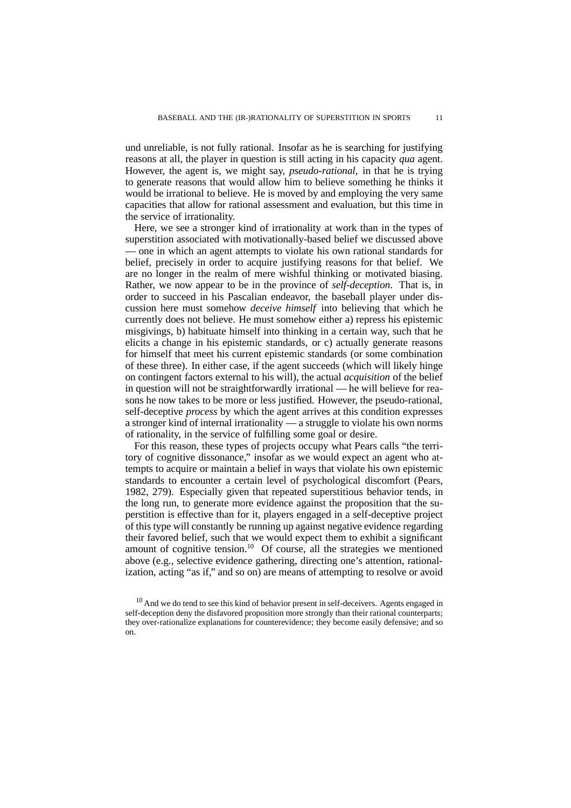und unreliable, is not fully rational. Insofar as he is searching for justifying reasons at all, the player in question is still acting in his capacity *qua* agent. However, the agent is, we might say, *pseudo-rational*, in that he is trying to generate reasons that would allow him to believe something he thinks it would be irrational to believe. He is moved by and employing the very same capacities that allow for rational assessment and evaluation, but this time in the service of irrationality.

Here, we see a stronger kind of irrationality at work than in the types of superstition associated with motivationally-based belief we discussed above — one in which an agent attempts to violate his own rational standards for belief, precisely in order to acquire justifying reasons for that belief. We are no longer in the realm of mere wishful thinking or motivated biasing. Rather, we now appear to be in the province of *self-deception*. That is, in order to succeed in his Pascalian endeavor, the baseball player under discussion here must somehow *deceive himself* into believing that which he currently does not believe. He must somehow either a) repress his epistemic misgivings, b) habituate himself into thinking in a certain way, such that he elicits a change in his epistemic standards, or c) actually generate reasons for himself that meet his current epistemic standards (or some combination of these three). In either case, if the agent succeeds (which will likely hinge on contingent factors external to his will), the actual *acquisition* of the belief in question will not be straightforwardly irrational — he will believe for reasons he now takes to be more or less justified. However, the pseudo-rational, self-deceptive *process* by which the agent arrives at this condition expresses a stronger kind of internal irrationality — a struggle to violate his own norms of rationality, in the service of fulfilling some goal or desire.

For this reason, these types of projects occupy what Pears calls "the territory of cognitive dissonance," insofar as we would expect an agent who attempts to acquire or maintain a belief in ways that violate his own epistemic standards to encounter a certain level of psychological discomfort (Pears, 1982, 279). Especially given that repeated superstitious behavior tends, in the long run, to generate more evidence against the proposition that the superstition is effective than for it, players engaged in a self-deceptive project of this type will constantly be running up against negative evidence regarding their favored belief, such that we would expect them to exhibit a significant amount of cognitive tension.<sup>10</sup> Of course, all the strategies we mentioned above (e.g., selective evidence gathering, directing one's attention, rationalization, acting "as if," and so on) are means of attempting to resolve or avoid

 $10$  And we do tend to see this kind of behavior present in self-deceivers. Agents engaged in self-deception deny the disfavored proposition more strongly than their rational counterparts; they over-rationalize explanations for counterevidence; they become easily defensive; and so on.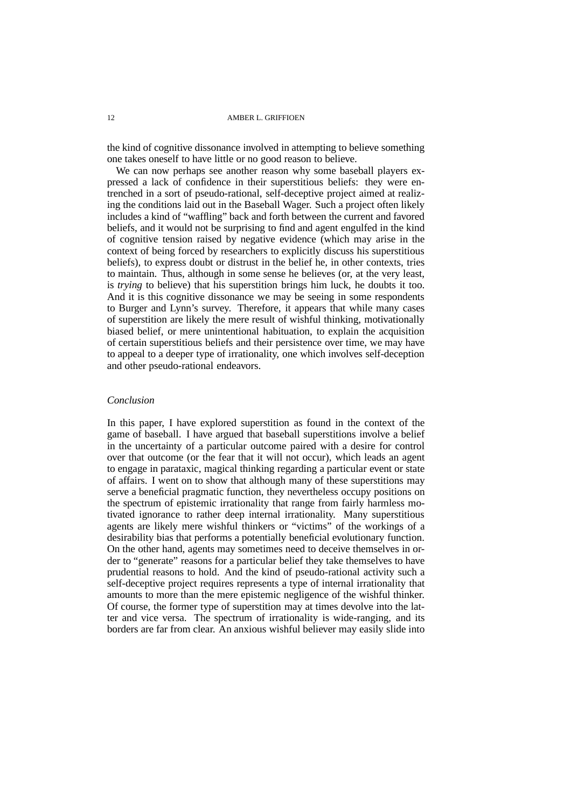the kind of cognitive dissonance involved in attempting to believe something one takes oneself to have little or no good reason to believe.

We can now perhaps see another reason why some baseball players expressed a lack of confidence in their superstitious beliefs: they were entrenched in a sort of pseudo-rational, self-deceptive project aimed at realizing the conditions laid out in the Baseball Wager. Such a project often likely includes a kind of "waffling" back and forth between the current and favored beliefs, and it would not be surprising to find and agent engulfed in the kind of cognitive tension raised by negative evidence (which may arise in the context of being forced by researchers to explicitly discuss his superstitious beliefs), to express doubt or distrust in the belief he, in other contexts, tries to maintain. Thus, although in some sense he believes (or, at the very least, is *trying* to believe) that his superstition brings him luck, he doubts it too. And it is this cognitive dissonance we may be seeing in some respondents to Burger and Lynn's survey. Therefore, it appears that while many cases of superstition are likely the mere result of wishful thinking, motivationally biased belief, or mere unintentional habituation, to explain the acquisition of certain superstitious beliefs and their persistence over time, we may have to appeal to a deeper type of irrationality, one which involves self-deception and other pseudo-rational endeavors.

### *Conclusion*

In this paper, I have explored superstition as found in the context of the game of baseball. I have argued that baseball superstitions involve a belief in the uncertainty of a particular outcome paired with a desire for control over that outcome (or the fear that it will not occur), which leads an agent to engage in parataxic, magical thinking regarding a particular event or state of affairs. I went on to show that although many of these superstitions may serve a beneficial pragmatic function, they nevertheless occupy positions on the spectrum of epistemic irrationality that range from fairly harmless motivated ignorance to rather deep internal irrationality. Many superstitious agents are likely mere wishful thinkers or "victims" of the workings of a desirability bias that performs a potentially beneficial evolutionary function. On the other hand, agents may sometimes need to deceive themselves in order to "generate" reasons for a particular belief they take themselves to have prudential reasons to hold. And the kind of pseudo-rational activity such a self-deceptive project requires represents a type of internal irrationality that amounts to more than the mere epistemic negligence of the wishful thinker. Of course, the former type of superstition may at times devolve into the latter and vice versa. The spectrum of irrationality is wide-ranging, and its borders are far from clear. An anxious wishful believer may easily slide into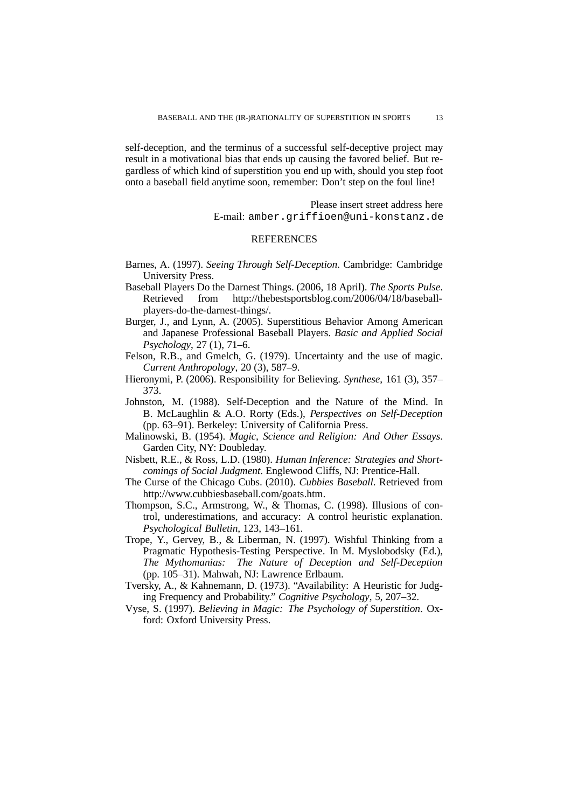self-deception, and the terminus of a successful self-deceptive project may result in a motivational bias that ends up causing the favored belief. But regardless of which kind of superstition you end up with, should you step foot onto a baseball field anytime soon, remember: Don't step on the foul line!

> Please insert street address here E-mail: amber.griffioen@uni-konstanz.de

### REFERENCES

- Barnes, A. (1997). *Seeing Through Self-Deception*. Cambridge: Cambridge University Press.
- Baseball Players Do the Darnest Things. (2006, 18 April). *The Sports Pulse*. Retrieved from http://thebestsportsblog.com/2006/04/18/baseballplayers-do-the-darnest-things/.
- Burger, J., and Lynn, A. (2005). Superstitious Behavior Among American and Japanese Professional Baseball Players. *Basic and Applied Social Psychology*, 27 (1), 71–6.
- Felson, R.B., and Gmelch, G. (1979). Uncertainty and the use of magic. *Current Anthropology*, 20 (3), 587–9.
- Hieronymi, P. (2006). Responsibility for Believing. *Synthese*, 161 (3), 357– 373.
- Johnston, M. (1988). Self-Deception and the Nature of the Mind. In B. McLaughlin & A.O. Rorty (Eds.), *Perspectives on Self-Deception* (pp. 63–91). Berkeley: University of California Press.
- Malinowski, B. (1954). *Magic, Science and Religion: And Other Essays*. Garden City, NY: Doubleday.
- Nisbett, R.E., & Ross, L.D. (1980). *Human Inference: Strategies and Shortcomings of Social Judgment*. Englewood Cliffs, NJ: Prentice-Hall.
- The Curse of the Chicago Cubs. (2010). *Cubbies Baseball*. Retrieved from http://www.cubbiesbaseball.com/goats.htm.
- Thompson, S.C., Armstrong, W., & Thomas, C. (1998). Illusions of control, underestimations, and accuracy: A control heuristic explanation. *Psychological Bulletin*, 123, 143–161.
- Trope, Y., Gervey, B., & Liberman, N. (1997). Wishful Thinking from a Pragmatic Hypothesis-Testing Perspective. In M. Myslobodsky (Ed.), *The Mythomanias: The Nature of Deception and Self-Deception* (pp. 105–31). Mahwah, NJ: Lawrence Erlbaum.
- Tversky, A., & Kahnemann, D. (1973). "Availability: A Heuristic for Judging Frequency and Probability." *Cognitive Psychology*, 5, 207–32.
- Vyse, S. (1997). *Believing in Magic: The Psychology of Superstition*. Oxford: Oxford University Press.